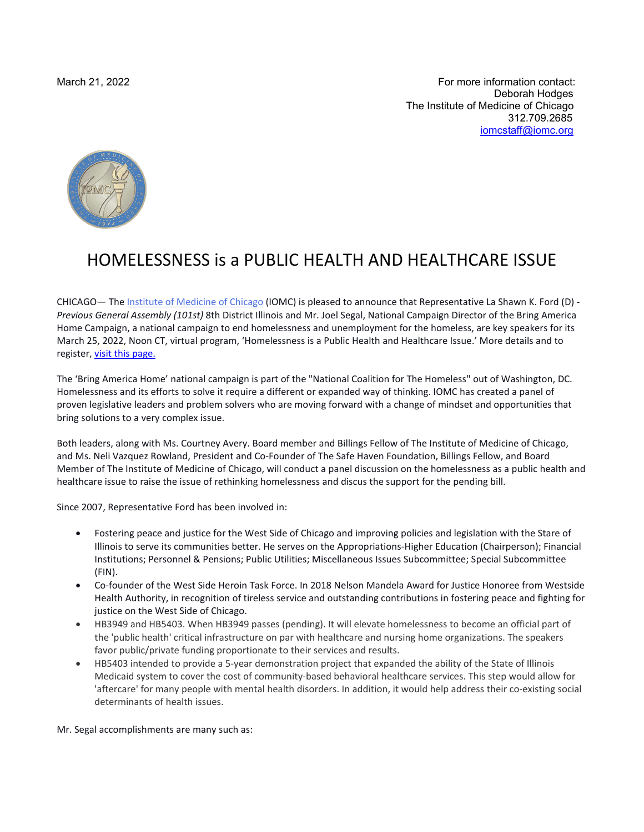March 21, 2022 **For more information contact:**  Deborah Hodges The Institute of Medicine of Chicago 312.709.2685 [iomcstaff@iomc.org](mailto:iomcstaff@iomc.org)



## HOMELESSNESS is a PUBLIC HEALTH AND HEALTHCARE ISSUE

CHICAGO— The [Institute of Medicine of Chicago](http://www.iomc.org/) (IOMC) is pleased to announce that Representative La Shawn K. Ford (D) *- Previous General Assembly (101st)* 8th District Illinois and Mr. Joel Segal, National Campaign Director of the Bring America Home Campaign, a national campaign to end homelessness and unemployment for the homeless, are key speakers for its March 25, 2022, Noon CT, virtual program, 'Homelessness is a Public Health and Healthcare Issue.' More details and to register, [visit this page.](https://iomc.org/event-4744323)

The 'Bring America Home' national campaign is part of the "National Coalition for The Homeless" out of Washington, DC. Homelessness and its efforts to solve it require a different or expanded way of thinking. IOMC has created a panel of proven legislative leaders and problem solvers who are moving forward with a change of mindset and opportunities that bring solutions to a very complex issue.

Both leaders, along with Ms. Courtney Avery. Board member and Billings Fellow of The Institute of Medicine of Chicago, and Ms. Neli Vazquez Rowland, President and Co-Founder of The Safe Haven Foundation, Billings Fellow, and Board Member of The Institute of Medicine of Chicago, will conduct a panel discussion on the homelessness as a public health and healthcare issue to raise the issue of rethinking homelessness and discus the support for the pending bill.

Since 2007, Representative Ford has been involved in:

- Fostering peace and justice for the West Side of Chicago and improving policies and legislation with the Stare of Illinois to serve its communities better. He serves on the Appropriations-Higher Education (Chairperson); Financial Institutions; Personnel & Pensions; Public Utilities; Miscellaneous Issues Subcommittee; Special Subcommittee (FIN).
- Co-founder of the West Side Heroin Task Force. In 2018 Nelson Mandela Award for Justice Honoree from Westside Health Authority, in recognition of tireless service and outstanding contributions in fostering peace and fighting for justice on the West Side of Chicago.
- HB3949 and HB5403. When HB3949 passes (pending). It will elevate homelessness to become an official part of the 'public health' critical infrastructure on par with healthcare and nursing home organizations. The speakers favor public/private funding proportionate to their services and results.
- HB5403 intended to provide a 5-year demonstration project that expanded the ability of the State of Illinois Medicaid system to cover the cost of community-based behavioral healthcare services. This step would allow for 'aftercare' for many people with mental health disorders. In addition, it would help address their co-existing social determinants of health issues.

Mr. Segal accomplishments are many such as: